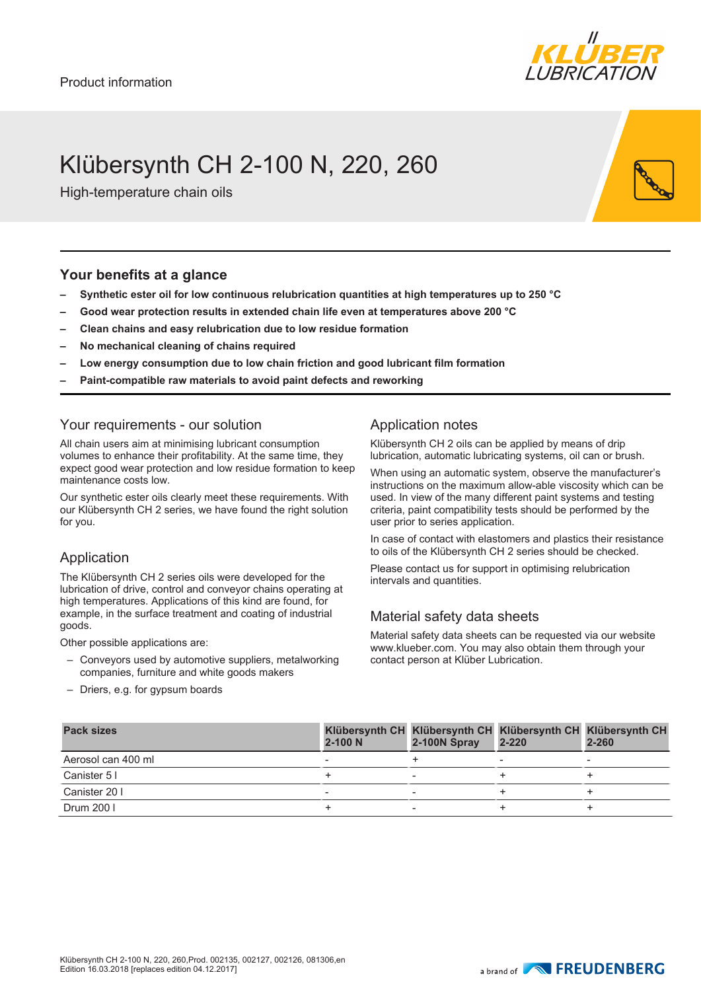

### Klübersynth CH 2-100 N, 220, 260

High-temperature chain oils

#### **Your benefits at a glance**

- **– Synthetic ester oil for low continuous relubrication quantities at high temperatures up to 250 °C**
- **– Good wear protection results in extended chain life even at temperatures above 200 °C**
- **– Clean chains and easy relubrication due to low residue formation**
- **– No mechanical cleaning of chains required**
- **– Low energy consumption due to low chain friction and good lubricant film formation**
- **– Paint-compatible raw materials to avoid paint defects and reworking**

#### Your requirements - our solution

All chain users aim at minimising lubricant consumption volumes to enhance their profitability. At the same time, they expect good wear protection and low residue formation to keep maintenance costs low.

Our synthetic ester oils clearly meet these requirements. With our Klübersynth CH 2 series, we have found the right solution for you.

#### Application

The Klübersynth CH 2 series oils were developed for the lubrication of drive, control and conveyor chains operating at high temperatures. Applications of this kind are found, for example, in the surface treatment and coating of industrial goods.

Other possible applications are:

- Conveyors used by automotive suppliers, metalworking companies, furniture and white goods makers
- Driers, e.g. for gypsum boards

#### Application notes

Klübersynth CH 2 oils can be applied by means of drip lubrication, automatic lubricating systems, oil can or brush.

When using an automatic system, observe the manufacturer's instructions on the maximum allow-able viscosity which can be used. In view of the many different paint systems and testing criteria, paint compatibility tests should be performed by the user prior to series application.

In case of contact with elastomers and plastics their resistance to oils of the Klübersynth CH 2 series should be checked.

Please contact us for support in optimising relubrication intervals and quantities.

#### Material safety data sheets

Material safety data sheets can be requested via our website www.klueber.com. You may also obtain them through your contact person at Klüber Lubrication.

| <b>Pack sizes</b>  | $2 - 100 N$              | 2-100N Spray             | Klübersynth CH Klübersynth CH Klübersynth CH Klübersynth CH<br>$2 - 220$ | $2 - 260$ |
|--------------------|--------------------------|--------------------------|--------------------------------------------------------------------------|-----------|
| Aerosol can 400 ml | $\overline{\phantom{a}}$ |                          |                                                                          |           |
| Canister 5 I       |                          |                          |                                                                          |           |
| Canister 20 I      | $\overline{\phantom{a}}$ | $\overline{\phantom{0}}$ |                                                                          |           |
| Drum 200 I         |                          |                          |                                                                          |           |

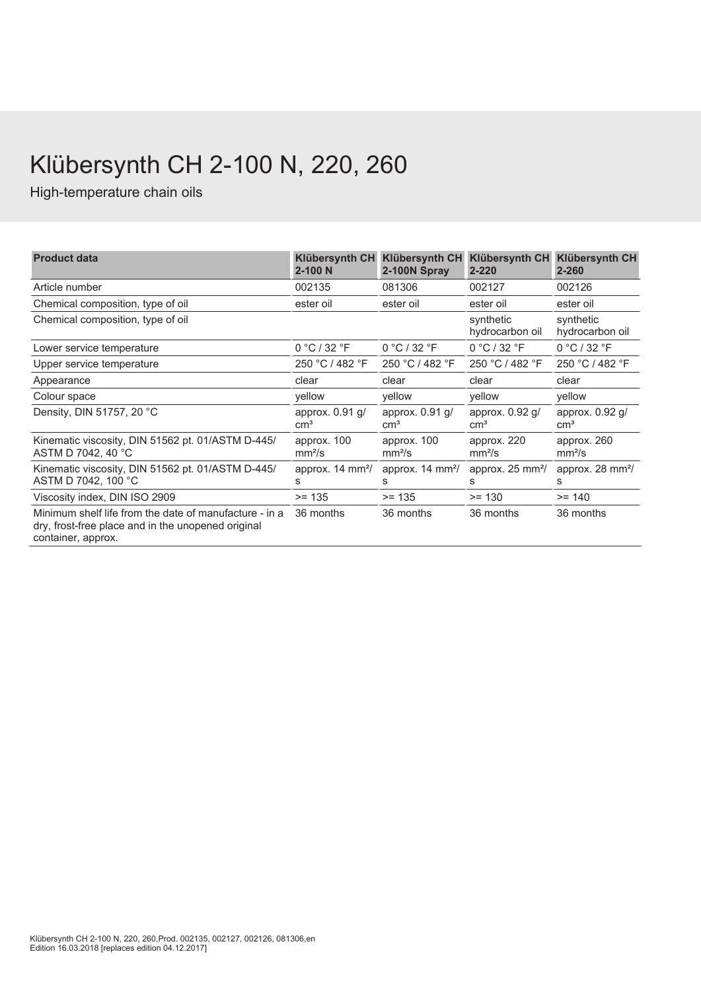# Klübersynth CH 2-100 N, 220, 260

High-temperature chain oils

| <b>Product data</b>                                                                                                                | <b>Klübersynth CH</b><br>$2 - 100 N$ | <b>Klübersynth CH</b><br>2-100N Spray | <b>Klübersynth CH</b><br>$2 - 220$ | <b>Klübersynth CH</b><br>$2 - 260$ |  |  |  |  |
|------------------------------------------------------------------------------------------------------------------------------------|--------------------------------------|---------------------------------------|------------------------------------|------------------------------------|--|--|--|--|
| Article number                                                                                                                     | 002135                               | 081306                                | 002127                             | 002126                             |  |  |  |  |
| Chemical composition, type of oil                                                                                                  | ester oil                            | ester oil                             | ester oil                          | ester oil                          |  |  |  |  |
| Chemical composition, type of oil                                                                                                  |                                      |                                       | synthetic<br>hydrocarbon oil       | synthetic<br>hydrocarbon oil       |  |  |  |  |
| Lower service temperature                                                                                                          | 0 °C / 32 °F                         | 0 °C / 32 °F                          | 0 °C / 32 °F                       | 0 °C / 32 °F                       |  |  |  |  |
| Upper service temperature                                                                                                          | 250 °C / 482 °F                      | 250 °C / 482 °F                       | 250 °C / 482 °F                    | 250 °C / 482 °F                    |  |  |  |  |
| Appearance                                                                                                                         | clear                                | clear                                 | clear                              | clear                              |  |  |  |  |
| Colour space                                                                                                                       | yellow                               | yellow                                | yellow                             | yellow                             |  |  |  |  |
| Density, DIN 51757, 20 °C                                                                                                          | approx. $0.91$ g/<br>$\text{cm}^3$   | approx. 0.91 g/<br>cm <sup>3</sup>    | approx. 0.92 g/<br>cm <sup>3</sup> | approx. $0.92$ g/<br>$\text{cm}^3$ |  |  |  |  |
| Kinematic viscosity, DIN 51562 pt. 01/ASTM D-445/<br>ASTM D 7042, 40 °C                                                            | approx. 100<br>mm <sup>2</sup> /s    | approx. 100<br>mm <sup>2</sup> /s     | approx. 220<br>mm <sup>2</sup> /s  | approx. 260<br>mm <sup>2</sup> /s  |  |  |  |  |
| Kinematic viscosity, DIN 51562 pt. 01/ASTM D-445/<br>ASTM D 7042, 100 °C                                                           | approx. 14 mm <sup>2</sup> /<br>s    | approx. 14 mm <sup>2</sup> /<br>s     | approx. 25 mm <sup>2</sup> /<br>s  | approx. 28 mm <sup>2</sup> /<br>s  |  |  |  |  |
| Viscosity index, DIN ISO 2909                                                                                                      | $>= 135$                             | $>= 135$                              | $>= 130$                           | $>= 140$                           |  |  |  |  |
| Minimum shelf life from the date of manufacture - in a<br>dry, frost-free place and in the unopened original<br>container, approx. | 36 months                            | 36 months                             | 36 months                          | 36 months                          |  |  |  |  |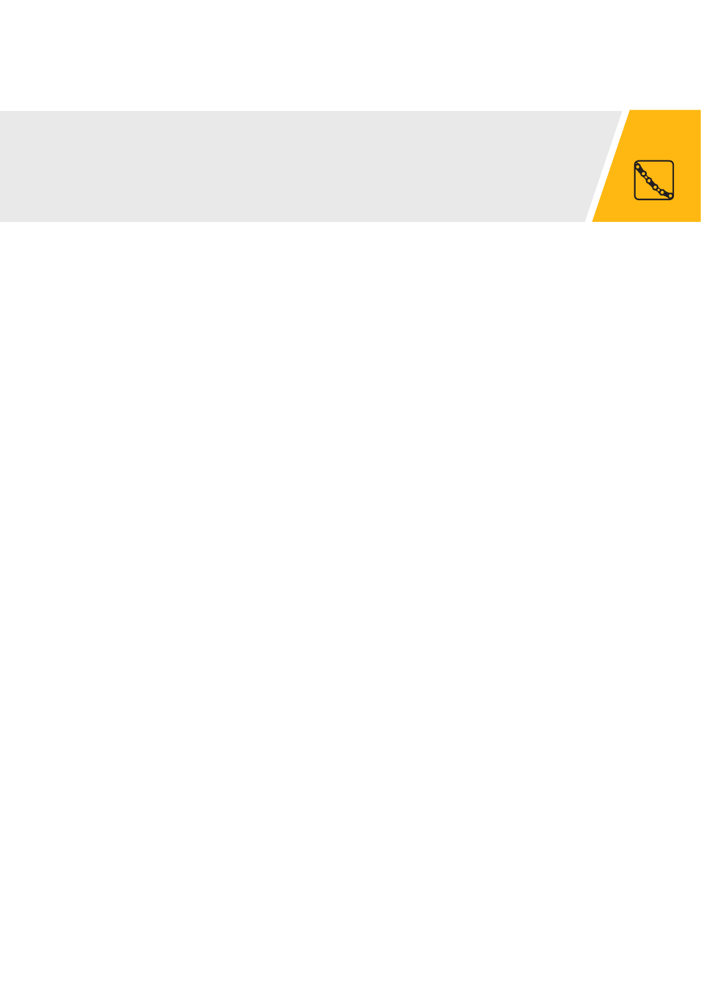